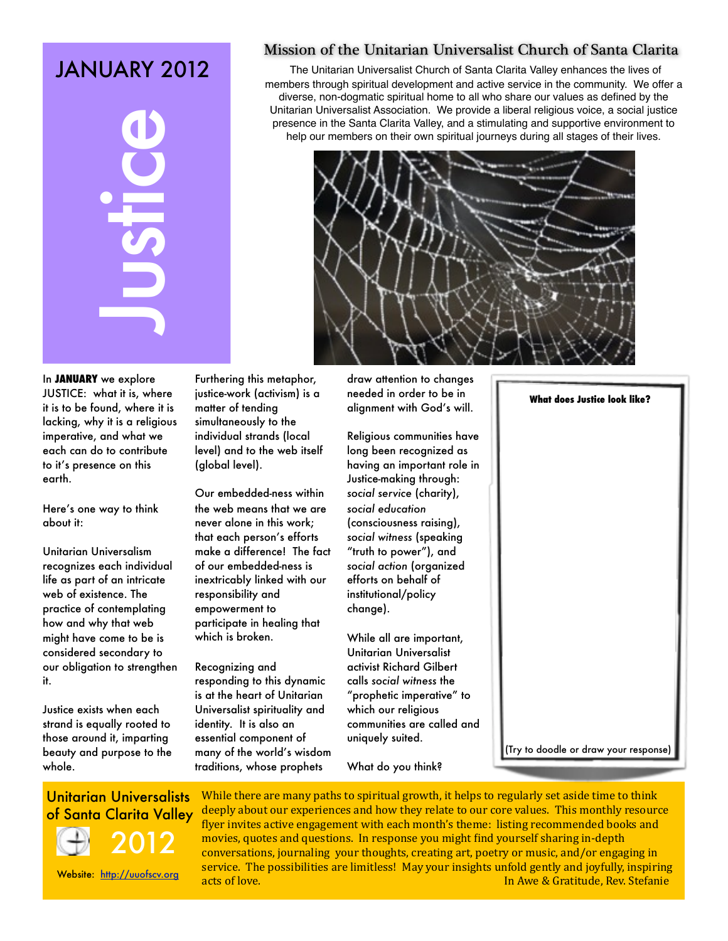# JANUARY 2012

**CONTROLLATE SANTAT WE SANTATE SANTAT SANTATE SANTATE SANTATE SANTATE SANTATE SANTATE SANTATE SANTATE SANTATE SANTATE SANTATE SANTATE SANTATE SANTATE SANTATE SANTATE SANTATE SANTATE SANTATE SANTATE SANTATE SANTATE SANTATE** 

### Mission of the Unitarian Universalist Church of Santa Clarita

The Unitarian Universalist Church of Santa Clarita Valley enhances the lives of members through spiritual development and active service in the community. We offer a diverse, non-dogmatic spiritual home to all who share our values as defined by the Unitarian Universalist Association. We provide a liberal religious voice, a social justice presence in the Santa Clarita Valley, and a stimulating and supportive environment to help our members on their own spiritual journeys during all stages of their lives.



In **JANUARY** we explore JUSTICE: what it is, where it is to be found, where it is lacking, why it is a religious imperative, and what we each can do to contribute to it's presence on this earth.

Here's one way to think about it:

Unitarian Universalism recognizes each individual life as part of an intricate web of existence. The practice of contemplating how and why that web might have come to be is considered secondary to our obligation to strengthen it.

Justice exists when each strand is equally rooted to those around it, imparting beauty and purpose to the whole.

Furthering this metaphor, justice-work (activism) is a matter of tending simultaneously to the individual strands (local level) and to the web itself (global level).

Our embedded-ness within the web means that we are never alone in this work; that each person's efforts make a difference! The fact of our embedded-ness is inextricably linked with our responsibility and empowerment to participate in healing that which is broken.

Recognizing and responding to this dynamic is at the heart of Unitarian Universalist spirituality and identity. It is also an essential component of many of the world's wisdom traditions, whose prophets

draw attention to changes needed in order to be in alignment with God's will.

Religious communities have long been recognized as having an important role in Justice-making through: *social service* (charity), *social education*  (consciousness raising), *social witness* (speaking "truth to power"), and *social action* (organized efforts on behalf of institutional/policy change).

While all are important, Unitarian Universalist activist Richard Gilbert calls *social witness* the "prophetic imperative" to which our religious communities are called and uniquely suited.

What do you think?

## **What does Justice look like?**

(Try to doodle or draw your response)



While there are many paths to spiritual growth, it helps to regularly set aside time to think deeply about our experiences and how they relate to our core values. This monthly resource flyer invites active engagement with each month's theme: listing recommended books and movies, quotes and questions. In response you might find yourself sharing in-depth conversations, journaling your thoughts, creating art, poetry or music, and/or engaging in service. The possibilities are limitless! May your insights unfold gently and joyfully, inspiring acts of love. **The Community Community Community Community Community Community Community Community Community Community Community Community Community Community Community Community Community Community Community Community Com**